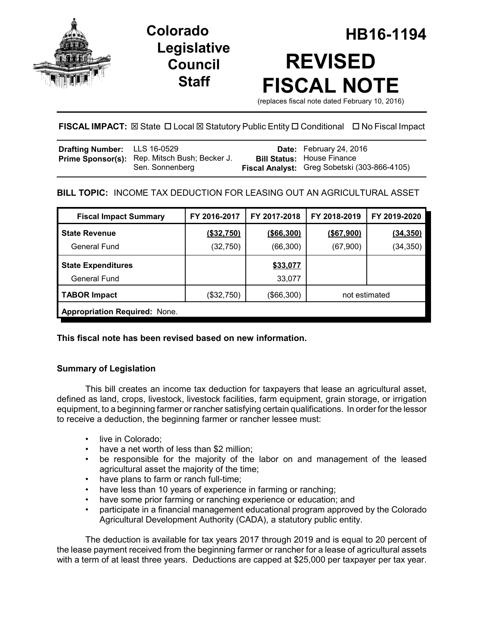

## **Legislative Council Staff**

# **Colorado HB16-1194 REVISED FISCAL NOTE**

(replaces fiscal note dated February 10, 2016)

## **FISCAL IMPACT:** ⊠ State □ Local ⊠ Statutory Public Entity □ Conditional □ No Fiscal Impact

| Drafting Number: LLS 16-0529 |                                                                  | Date: February 24, 2016                                                           |
|------------------------------|------------------------------------------------------------------|-----------------------------------------------------------------------------------|
|                              | Prime Sponsor(s): Rep. Mitsch Bush; Becker J.<br>Sen. Sonnenberg | <b>Bill Status: House Finance</b><br>Fiscal Analyst: Greg Sobetski (303-866-4105) |

## **BILL TOPIC:** INCOME TAX DEDUCTION FOR LEASING OUT AN AGRICULTURAL ASSET

| <b>Fiscal Impact Summary</b>         | FY 2016-2017 | FY 2017-2018 | FY 2018-2019  | FY 2019-2020 |  |  |
|--------------------------------------|--------------|--------------|---------------|--------------|--|--|
| <b>State Revenue</b>                 | (\$32,750)   | (\$66,300)   | $($ \$67,900) | (34, 350)    |  |  |
| General Fund                         | (32, 750)    | (66, 300)    | (67,900)      | (34, 350)    |  |  |
| <b>State Expenditures</b>            |              | \$33,077     |               |              |  |  |
| General Fund                         |              | 33,077       |               |              |  |  |
| <b>TABOR Impact</b>                  | (\$32,750)   | (\$66,300)   | not estimated |              |  |  |
| <b>Appropriation Required: None.</b> |              |              |               |              |  |  |

**This fiscal note has been revised based on new information.**

## **Summary of Legislation**

This bill creates an income tax deduction for taxpayers that lease an agricultural asset, defined as land, crops, livestock, livestock facilities, farm equipment, grain storage, or irrigation equipment, to a beginning farmer or rancher satisfying certain qualifications. In order for the lessor to receive a deduction, the beginning farmer or rancher lessee must:

- live in Colorado;
- have a net worth of less than \$2 million;
- be responsible for the majority of the labor on and management of the leased agricultural asset the majority of the time;
- have plans to farm or ranch full-time;
- have less than 10 years of experience in farming or ranching;
- have some prior farming or ranching experience or education; and
- participate in a financial management educational program approved by the Colorado Agricultural Development Authority (CADA), a statutory public entity.

The deduction is available for tax years 2017 through 2019 and is equal to 20 percent of the lease payment received from the beginning farmer or rancher for a lease of agricultural assets with a term of at least three years. Deductions are capped at \$25,000 per taxpayer per tax year.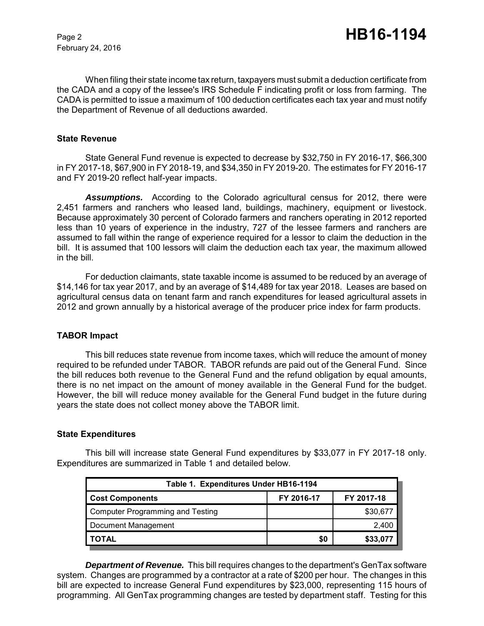February 24, 2016

When filing their state income tax return, taxpayers must submit a deduction certificate from the CADA and a copy of the lessee's IRS Schedule F indicating profit or loss from farming. The CADA is permitted to issue a maximum of 100 deduction certificates each tax year and must notify the Department of Revenue of all deductions awarded.

#### **State Revenue**

State General Fund revenue is expected to decrease by \$32,750 in FY 2016-17, \$66,300 in FY 2017-18, \$67,900 in FY 2018-19, and \$34,350 in FY 2019-20. The estimates for FY 2016-17 and FY 2019-20 reflect half-year impacts.

*Assumptions.* According to the Colorado agricultural census for 2012, there were 2,451 farmers and ranchers who leased land, buildings, machinery, equipment or livestock. Because approximately 30 percent of Colorado farmers and ranchers operating in 2012 reported less than 10 years of experience in the industry, 727 of the lessee farmers and ranchers are assumed to fall within the range of experience required for a lessor to claim the deduction in the bill. It is assumed that 100 lessors will claim the deduction each tax year, the maximum allowed in the bill.

For deduction claimants, state taxable income is assumed to be reduced by an average of \$14,146 for tax year 2017, and by an average of \$14,489 for tax year 2018. Leases are based on agricultural census data on tenant farm and ranch expenditures for leased agricultural assets in 2012 and grown annually by a historical average of the producer price index for farm products.

#### **TABOR Impact**

This bill reduces state revenue from income taxes, which will reduce the amount of money required to be refunded under TABOR. TABOR refunds are paid out of the General Fund. Since the bill reduces both revenue to the General Fund and the refund obligation by equal amounts, there is no net impact on the amount of money available in the General Fund for the budget. However, the bill will reduce money available for the General Fund budget in the future during years the state does not collect money above the TABOR limit.

#### **State Expenditures**

This bill will increase state General Fund expenditures by \$33,077 in FY 2017-18 only. Expenditures are summarized in Table 1 and detailed below.

| Table 1. Expenditures Under HB16-1194 |            |            |  |  |  |  |
|---------------------------------------|------------|------------|--|--|--|--|
| <b>Cost Components</b>                | FY 2016-17 | FY 2017-18 |  |  |  |  |
| Computer Programming and Testing      |            | \$30,677   |  |  |  |  |
| Document Management                   |            | 2,400      |  |  |  |  |
| <b>TOTAL</b>                          | \$0        | \$33,077   |  |  |  |  |

*Department of Revenue.* This bill requires changes to the department's GenTax software system. Changes are programmed by a contractor at a rate of \$200 per hour. The changes in this bill are expected to increase General Fund expenditures by \$23,000, representing 115 hours of programming. All GenTax programming changes are tested by department staff. Testing for this